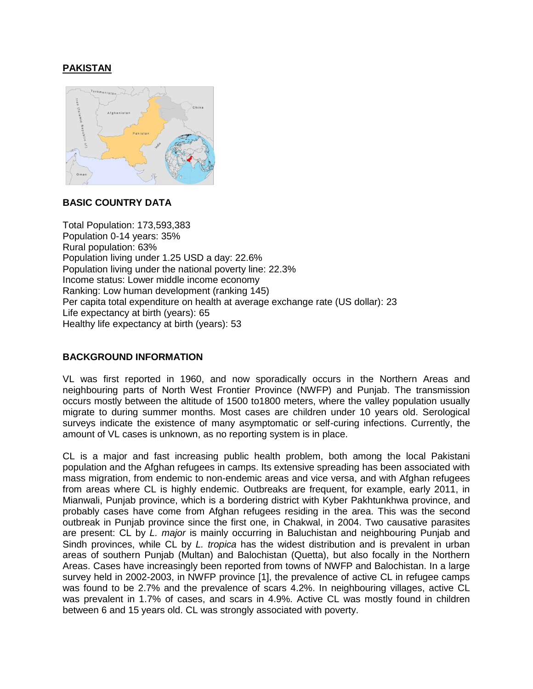# **PAKISTAN**



# **BASIC COUNTRY DATA**

Total Population: 173,593,383 Population 0-14 years: 35% Rural population: 63% Population living under 1.25 USD a day: 22.6% Population living under the national poverty line: 22.3% Income status: Lower middle income economy Ranking: Low human development (ranking 145) Per capita total expenditure on health at average exchange rate (US dollar): 23 Life expectancy at birth (years): 65 Healthy life expectancy at birth (years): 53

# **BACKGROUND INFORMATION**

VL was first reported in 1960, and now sporadically occurs in the Northern Areas and neighbouring parts of North West Frontier Province (NWFP) and Punjab. The transmission occurs mostly between the altitude of 1500 to1800 meters, where the valley population usually migrate to during summer months. Most cases are children under 10 years old. Serological surveys indicate the existence of many asymptomatic or self-curing infections. Currently, the amount of VL cases is unknown, as no reporting system is in place.

CL is a major and fast increasing public health problem, both among the local Pakistani population and the Afghan refugees in camps. Its extensive spreading has been associated with mass migration, from endemic to non-endemic areas and vice versa, and with Afghan refugees from areas where CL is highly endemic. Outbreaks are frequent, for example, early 2011, in Mianwali, Punjab province, which is a bordering district with Kyber Pakhtunkhwa province, and probably cases have come from Afghan refugees residing in the area. This was the second outbreak in Punjab province since the first one, in Chakwal, in 2004. Two causative parasites are present: CL by *L. major* is mainly occurring in Baluchistan and neighbouring Punjab and Sindh provinces, while CL by *L. tropica* has the widest distribution and is prevalent in urban areas of southern Punjab (Multan) and Balochistan (Quetta), but also focally in the Northern Areas. Cases have increasingly been reported from towns of NWFP and Balochistan. In a large survey held in 2002-2003, in NWFP province [1], the prevalence of active CL in refugee camps was found to be 2.7% and the prevalence of scars 4.2%. In neighbouring villages, active CL was prevalent in 1.7% of cases, and scars in 4.9%. Active CL was mostly found in children between 6 and 15 years old. CL was strongly associated with poverty.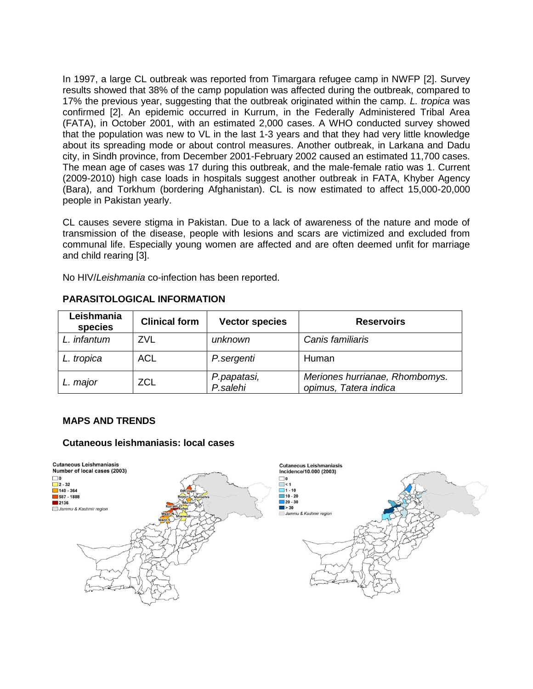In 1997, a large CL outbreak was reported from Timargara refugee camp in NWFP [2]. Survey results showed that 38% of the camp population was affected during the outbreak, compared to 17% the previous year, suggesting that the outbreak originated within the camp. *L. tropica* was confirmed [2]. An epidemic occurred in Kurrum, in the Federally Administered Tribal Area (FATA), in October 2001, with an estimated 2,000 cases. A WHO conducted survey showed that the population was new to VL in the last 1-3 years and that they had very little knowledge about its spreading mode or about control measures. Another outbreak, in Larkana and Dadu city, in Sindh province, from December 2001-February 2002 caused an estimated 11,700 cases. The mean age of cases was 17 during this outbreak, and the male-female ratio was 1. Current (2009-2010) high case loads in hospitals suggest another outbreak in FATA, Khyber Agency (Bara), and Torkhum (bordering Afghanistan). CL is now estimated to affect 15,000-20,000 people in Pakistan yearly.

CL causes severe stigma in Pakistan. Due to a lack of awareness of the nature and mode of transmission of the disease, people with lesions and scars are victimized and excluded from communal life. Especially young women are affected and are often deemed unfit for marriage and child rearing [3].

No HIV/*Leishmania* co-infection has been reported.

| Leishmania<br>species | <b>Clinical form</b> | <b>Vector species</b>   | <b>Reservoirs</b>                                       |
|-----------------------|----------------------|-------------------------|---------------------------------------------------------|
| L. infantum           | ZVL                  | unknown                 | Canis familiaris                                        |
| L. tropica            | <b>ACL</b>           | P.sergenti              | Human                                                   |
| L. major              | ZCL                  | P.papatasi,<br>P.salehi | Meriones hurrianae, Rhombomys.<br>opimus, Tatera indica |

# **PARASITOLOGICAL INFORMATION**

# **MAPS AND TRENDS**

# **Cutaneous leishmaniasis: local cases**

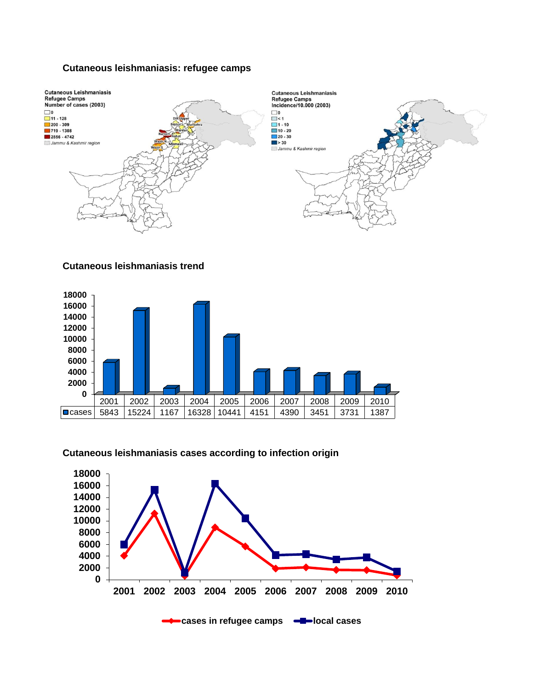# **Cutaneous leishmaniasis: refugee camps**



#### **Cutaneous leishmaniasis trend**



#### **Cutaneous leishmaniasis cases according to infection origin**

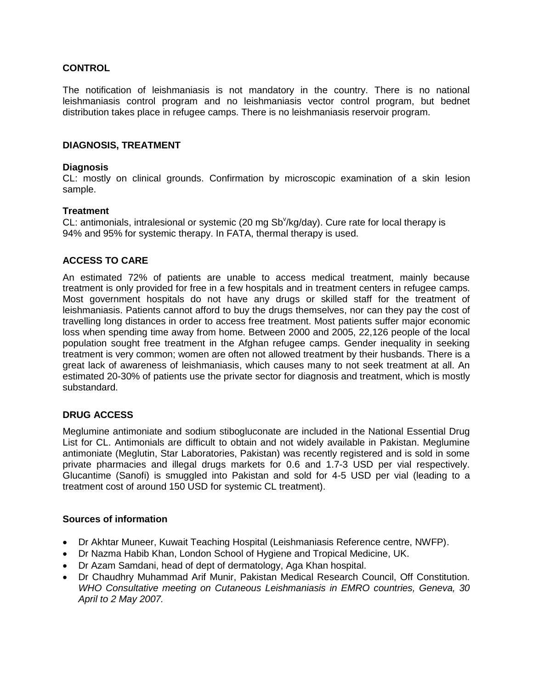# **CONTROL**

The notification of leishmaniasis is not mandatory in the country. There is no national leishmaniasis control program and no leishmaniasis vector control program, but bednet distribution takes place in refugee camps. There is no leishmaniasis reservoir program.

# **DIAGNOSIS, TREATMENT**

# **Diagnosis**

CL: mostly on clinical grounds. Confirmation by microscopic examination of a skin lesion sample.

# **Treatment**

CL: antimonials, intralesional or systemic (20 mg Sb<sup>v</sup>/kg/day). Cure rate for local therapy is 94% and 95% for systemic therapy. In FATA, thermal therapy is used.

# **ACCESS TO CARE**

An estimated 72% of patients are unable to access medical treatment, mainly because treatment is only provided for free in a few hospitals and in treatment centers in refugee camps. Most government hospitals do not have any drugs or skilled staff for the treatment of leishmaniasis. Patients cannot afford to buy the drugs themselves, nor can they pay the cost of travelling long distances in order to access free treatment. Most patients suffer major economic loss when spending time away from home. Between 2000 and 2005, 22,126 people of the local population sought free treatment in the Afghan refugee camps. Gender inequality in seeking treatment is very common; women are often not allowed treatment by their husbands. There is a great lack of awareness of leishmaniasis, which causes many to not seek treatment at all. An estimated 20-30% of patients use the private sector for diagnosis and treatment, which is mostly substandard.

# **DRUG ACCESS**

Meglumine antimoniate and sodium stibogluconate are included in the National Essential Drug List for CL. Antimonials are difficult to obtain and not widely available in Pakistan. Meglumine antimoniate (Meglutin, Star Laboratories, Pakistan) was recently registered and is sold in some private pharmacies and illegal drugs markets for 0.6 and 1.7-3 USD per vial respectively. Glucantime (Sanofi) is smuggled into Pakistan and sold for 4-5 USD per vial (leading to a treatment cost of around 150 USD for systemic CL treatment).

# **Sources of information**

- Dr Akhtar Muneer, Kuwait Teaching Hospital (Leishmaniasis Reference centre, NWFP).
- Dr Nazma Habib Khan, London School of Hygiene and Tropical Medicine, UK.
- Dr Azam Samdani, head of dept of dermatology, Aga Khan hospital.
- Dr Chaudhry Muhammad Arif Munir, Pakistan Medical Research Council, Off Constitution. *WHO Consultative meeting on Cutaneous Leishmaniasis in EMRO countries, Geneva, 30 April to 2 May 2007.*